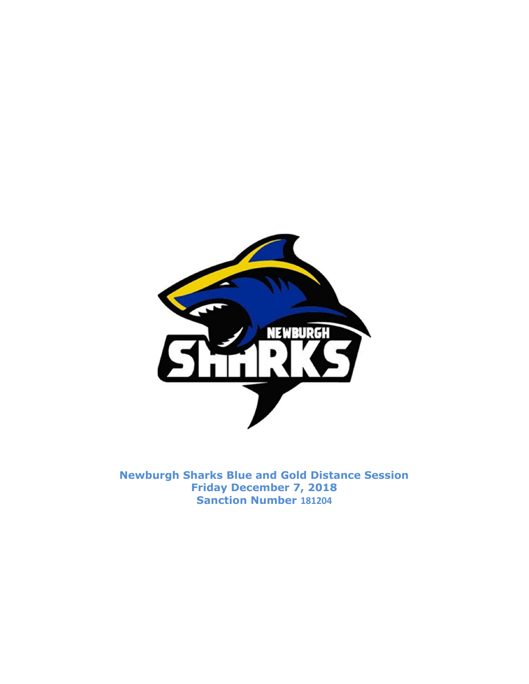

Newburgh Sharks Blue and Gold Distance Session Friday December 7, 2018 Sanction Number 181204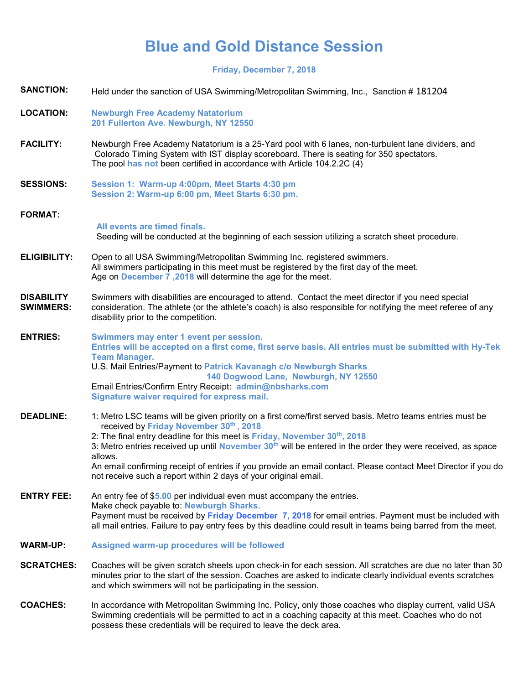## Blue and Gold Distance Session

Friday, December 7, 2018

| <b>SANCTION:</b>                      | Held under the sanction of USA Swimming/Metropolitan Swimming, Inc., Sanction #181204                                                                                                                                                                                                                                                                                                                                                                                                                                                                           |  |  |
|---------------------------------------|-----------------------------------------------------------------------------------------------------------------------------------------------------------------------------------------------------------------------------------------------------------------------------------------------------------------------------------------------------------------------------------------------------------------------------------------------------------------------------------------------------------------------------------------------------------------|--|--|
| <b>LOCATION:</b>                      | <b>Newburgh Free Academy Natatorium</b><br>201 Fullerton Ave. Newburgh, NY 12550                                                                                                                                                                                                                                                                                                                                                                                                                                                                                |  |  |
| <b>FACILITY:</b>                      | Newburgh Free Academy Natatorium is a 25-Yard pool with 6 lanes, non-turbulent lane dividers, and<br>Colorado Timing System with IST display scoreboard. There is seating for 350 spectators.<br>The pool has not been certified in accordance with Article 104.2.2C (4)                                                                                                                                                                                                                                                                                        |  |  |
| <b>SESSIONS:</b>                      | Session 1: Warm-up 4:00pm, Meet Starts 4:30 pm<br>Session 2: Warm-up 6:00 pm, Meet Starts 6:30 pm.                                                                                                                                                                                                                                                                                                                                                                                                                                                              |  |  |
| <b>FORMAT:</b>                        |                                                                                                                                                                                                                                                                                                                                                                                                                                                                                                                                                                 |  |  |
|                                       | All events are timed finals.<br>Seeding will be conducted at the beginning of each session utilizing a scratch sheet procedure.                                                                                                                                                                                                                                                                                                                                                                                                                                 |  |  |
| <b>ELIGIBILITY:</b>                   | Open to all USA Swimming/Metropolitan Swimming Inc. registered swimmers.<br>All swimmers participating in this meet must be registered by the first day of the meet.<br>Age on December 7,2018 will determine the age for the meet.                                                                                                                                                                                                                                                                                                                             |  |  |
| <b>DISABILITY</b><br><b>SWIMMERS:</b> | Swimmers with disabilities are encouraged to attend. Contact the meet director if you need special<br>consideration. The athlete (or the athlete's coach) is also responsible for notifying the meet referee of any<br>disability prior to the competition.                                                                                                                                                                                                                                                                                                     |  |  |
| <b>ENTRIES:</b>                       | Swimmers may enter 1 event per session.<br>Entries will be accepted on a first come, first serve basis. All entries must be submitted with Hy-Tek<br><b>Team Manager.</b><br>U.S. Mail Entries/Payment to Patrick Kavanagh c/o Newburgh Sharks<br>140 Dogwood Lane, Newburgh, NY 12550<br>Email Entries/Confirm Entry Receipt: admin@nbsharks.com<br>Signature waiver required for express mail.                                                                                                                                                                |  |  |
| <b>DEADLINE:</b>                      | 1: Metro LSC teams will be given priority on a first come/first served basis. Metro teams entries must be<br>received by Friday November 30th, 2018<br>2: The final entry deadline for this meet is Friday, November 30th, 2018<br>3: Metro entries received up until <b>November 30<sup>th</sup></b> will be entered in the order they were received, as space<br>allows.<br>An email confirming receipt of entries if you provide an email contact. Please contact Meet Director if you do<br>not receive such a report within 2 days of your original email. |  |  |
| <b>ENTRY FEE:</b>                     | An entry fee of \$5.00 per individual even must accompany the entries.<br>Make check payable to: Newburgh Sharks.<br>Payment must be received by Friday December 7, 2018 for email entries. Payment must be included with<br>all mail entries. Failure to pay entry fees by this deadline could result in teams being barred from the meet.                                                                                                                                                                                                                     |  |  |
| <b>WARM-UP:</b>                       | Assigned warm-up procedures will be followed                                                                                                                                                                                                                                                                                                                                                                                                                                                                                                                    |  |  |
| <b>SCRATCHES:</b>                     | Coaches will be given scratch sheets upon check-in for each session. All scratches are due no later than 30<br>minutes prior to the start of the session. Coaches are asked to indicate clearly individual events scratches<br>and which swimmers will not be participating in the session.                                                                                                                                                                                                                                                                     |  |  |
| <b>COACHES:</b>                       | In accordance with Metropolitan Swimming Inc. Policy, only those coaches who display current, valid USA<br>Swimming credentials will be permitted to act in a coaching capacity at this meet. Coaches who do not<br>possess these credentials will be required to leave the deck area.                                                                                                                                                                                                                                                                          |  |  |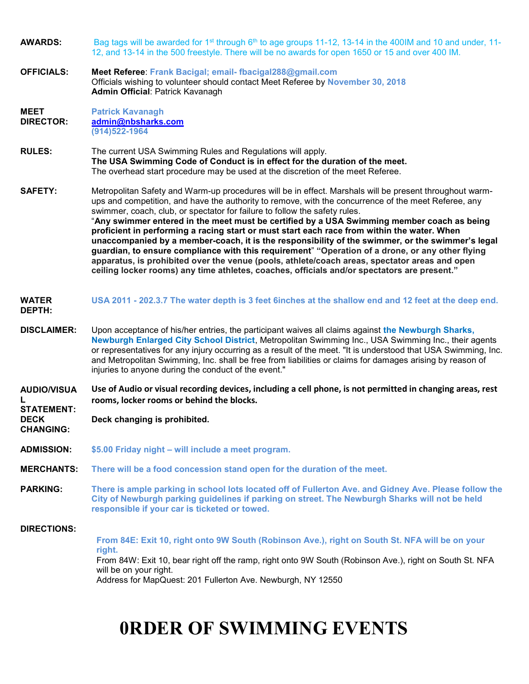| <b>AWARDS:</b>                                                                  | Bag tags will be awarded for 1 <sup>st</sup> through 6 <sup>th</sup> to age groups 11-12, 13-14 in the 400IM and 10 and under, 11-<br>12, and 13-14 in the 500 freestyle. There will be no awards for open 1650 or 15 and over 400 IM.                                                                                                                                                                                                                                                                                                                                                                                                                                                                                                                                                                                                                                                             |  |  |
|---------------------------------------------------------------------------------|----------------------------------------------------------------------------------------------------------------------------------------------------------------------------------------------------------------------------------------------------------------------------------------------------------------------------------------------------------------------------------------------------------------------------------------------------------------------------------------------------------------------------------------------------------------------------------------------------------------------------------------------------------------------------------------------------------------------------------------------------------------------------------------------------------------------------------------------------------------------------------------------------|--|--|
| <b>OFFICIALS:</b>                                                               | Meet Referee: Frank Bacigal; email-fbacigal288@gmail.com<br>Officials wishing to volunteer should contact Meet Referee by November 30, 2018<br>Admin Official: Patrick Kavanagh                                                                                                                                                                                                                                                                                                                                                                                                                                                                                                                                                                                                                                                                                                                    |  |  |
| <b>MEET</b><br><b>DIRECTOR:</b>                                                 | <b>Patrick Kavanagh</b><br>admin@nbsharks.com<br>$(914)522 - 1964$                                                                                                                                                                                                                                                                                                                                                                                                                                                                                                                                                                                                                                                                                                                                                                                                                                 |  |  |
| <b>RULES:</b>                                                                   | The current USA Swimming Rules and Regulations will apply.<br>The USA Swimming Code of Conduct is in effect for the duration of the meet.<br>The overhead start procedure may be used at the discretion of the meet Referee.                                                                                                                                                                                                                                                                                                                                                                                                                                                                                                                                                                                                                                                                       |  |  |
| <b>SAFETY:</b>                                                                  | Metropolitan Safety and Warm-up procedures will be in effect. Marshals will be present throughout warm-<br>ups and competition, and have the authority to remove, with the concurrence of the meet Referee, any<br>swimmer, coach, club, or spectator for failure to follow the safety rules.<br>"Any swimmer entered in the meet must be certified by a USA Swimming member coach as being<br>proficient in performing a racing start or must start each race from within the water. When<br>unaccompanied by a member-coach, it is the responsibility of the swimmer, or the swimmer's legal<br>guardian, to ensure compliance with this requirement" "Operation of a drone, or any other flying<br>apparatus, is prohibited over the venue (pools, athlete/coach areas, spectator areas and open<br>ceiling locker rooms) any time athletes, coaches, officials and/or spectators are present." |  |  |
| <b>WATER</b><br>DEPTH:                                                          | USA 2011 - 202.3.7 The water depth is 3 feet 6inches at the shallow end and 12 feet at the deep end.                                                                                                                                                                                                                                                                                                                                                                                                                                                                                                                                                                                                                                                                                                                                                                                               |  |  |
| <b>DISCLAIMER:</b>                                                              | Upon acceptance of his/her entries, the participant waives all claims against the Newburgh Sharks,<br>Newburgh Enlarged City School District, Metropolitan Swimming Inc., USA Swimming Inc., their agents<br>or representatives for any injury occurring as a result of the meet. "It is understood that USA Swimming, Inc.<br>and Metropolitan Swimming, Inc. shall be free from liabilities or claims for damages arising by reason of<br>injuries to anyone during the conduct of the event."                                                                                                                                                                                                                                                                                                                                                                                                   |  |  |
| <b>AUDIO/VISUA</b><br>L<br><b>STATEMENT:</b><br><b>DECK</b><br><b>CHANGING:</b> | Use of Audio or visual recording devices, including a cell phone, is not permitted in changing areas, rest<br>rooms, locker rooms or behind the blocks.                                                                                                                                                                                                                                                                                                                                                                                                                                                                                                                                                                                                                                                                                                                                            |  |  |
|                                                                                 | Deck changing is prohibited.                                                                                                                                                                                                                                                                                                                                                                                                                                                                                                                                                                                                                                                                                                                                                                                                                                                                       |  |  |
| <b>ADMISSION:</b>                                                               | \$5.00 Friday night - will include a meet program.                                                                                                                                                                                                                                                                                                                                                                                                                                                                                                                                                                                                                                                                                                                                                                                                                                                 |  |  |
| <b>MERCHANTS:</b>                                                               | There will be a food concession stand open for the duration of the meet.                                                                                                                                                                                                                                                                                                                                                                                                                                                                                                                                                                                                                                                                                                                                                                                                                           |  |  |
| <b>PARKING:</b>                                                                 | There is ample parking in school lots located off of Fullerton Ave. and Gidney Ave. Please follow the<br>City of Newburgh parking guidelines if parking on street. The Newburgh Sharks will not be held<br>responsible if your car is ticketed or towed.                                                                                                                                                                                                                                                                                                                                                                                                                                                                                                                                                                                                                                           |  |  |
| <b>DIRECTIONS:</b>                                                              | From 84E: Exit 10, right onto 9W South (Robinson Ave.), right on South St. NFA will be on your<br>right.<br>From 84W: Exit 10, bear right off the ramp, right onto 9W South (Robinson Ave.), right on South St. NFA<br>will be on your right.<br>Address for MapQuest: 201 Fullerton Ave. Newburgh, NY 12550                                                                                                                                                                                                                                                                                                                                                                                                                                                                                                                                                                                       |  |  |

## 0RDER OF SWIMMING EVENTS